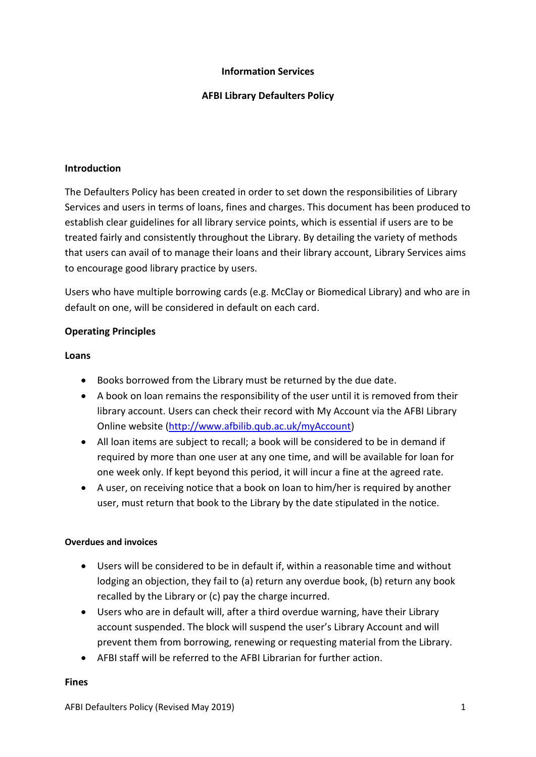## **Information Services**

## **AFBI Library Defaulters Policy**

### **Introduction**

The Defaulters Policy has been created in order to set down the responsibilities of Library Services and users in terms of loans, fines and charges. This document has been produced to establish clear guidelines for all library service points, which is essential if users are to be treated fairly and consistently throughout the Library. By detailing the variety of methods that users can avail of to manage their loans and their library account, Library Services aims to encourage good library practice by users.

Users who have multiple borrowing cards (e.g. McClay or Biomedical Library) and who are in default on one, will be considered in default on each card.

## **Operating Principles**

### **Loans**

- Books borrowed from the Library must be returned by the due date.
- A book on loan remains the responsibility of the user until it is removed from their library account. Users can check their record with My Account via the AFBI Library Online website [\(http://www.afbilib.qub.ac.uk/myAccount\)](http://www.afbilib.qub.ac.uk/myAccount)
- All loan items are subject to recall; a book will be considered to be in demand if required by more than one user at any one time, and will be available for loan for one week only. If kept beyond this period, it will incur a fine at the agreed rate.
- A user, on receiving notice that a book on loan to him/her is required by another user, must return that book to the Library by the date stipulated in the notice.

### **Overdues and invoices**

- Users will be considered to be in default if, within a reasonable time and without lodging an objection, they fail to (a) return any overdue book, (b) return any book recalled by the Library or (c) pay the charge incurred.
- Users who are in default will, after a third overdue warning, have their Library account suspended. The block will suspend the user's Library Account and will prevent them from borrowing, renewing or requesting material from the Library.
- AFBI staff will be referred to the AFBI Librarian for further action.

#### **Fines**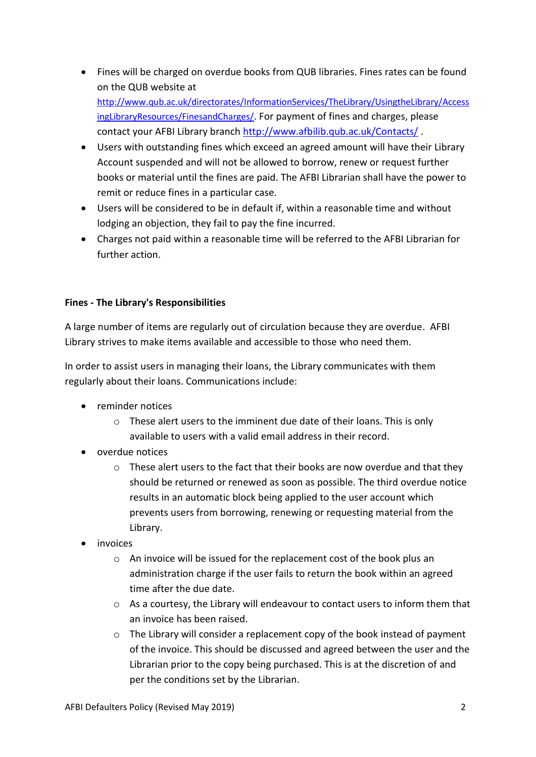- Fines will be charged on overdue books from QUB libraries. Fines rates can be found on the QUB website at [http://www.qub.ac.uk/directorates/InformationServices/TheLibrary/UsingtheLibrary/Access](http://www.qub.ac.uk/directorates/InformationServices/TheLibrary/UsingtheLibrary/AccessingLibraryResources/FinesandCharges/) [ingLibraryResources/FinesandCharges/](http://www.qub.ac.uk/directorates/InformationServices/TheLibrary/UsingtheLibrary/AccessingLibraryResources/FinesandCharges/). For payment of fines and charges, please contact your AFBI Library branch<http://www.afbilib.qub.ac.uk/Contacts/>.
- Users with outstanding fines which exceed an agreed amount will have their Library Account suspended and will not be allowed to borrow, renew or request further books or material until the fines are paid. The AFBI Librarian shall have the power to remit or reduce fines in a particular case.
- Users will be considered to be in default if, within a reasonable time and without lodging an objection, they fail to pay the fine incurred.
- Charges not paid within a reasonable time will be referred to the AFBI Librarian for further action.

# **Fines - The Library's Responsibilities**

A large number of items are regularly out of circulation because they are overdue. AFBI Library strives to make items available and accessible to those who need them.

In order to assist users in managing their loans, the Library communicates with them regularly about their loans. Communications include:

- reminder notices
	- o These alert users to the imminent due date of their loans. This is only available to users with a valid email address in their record.
- overdue notices
	- o These alert users to the fact that their books are now overdue and that they should be returned or renewed as soon as possible. The third overdue notice results in an automatic block being applied to the user account which prevents users from borrowing, renewing or requesting material from the Library.
- invoices
	- o An invoice will be issued for the replacement cost of the book plus an administration charge if the user fails to return the book within an agreed time after the due date.
	- o As a courtesy, the Library will endeavour to contact users to inform them that an invoice has been raised.
	- o The Library will consider a replacement copy of the book instead of payment of the invoice. This should be discussed and agreed between the user and the Librarian prior to the copy being purchased. This is at the discretion of and per the conditions set by the Librarian.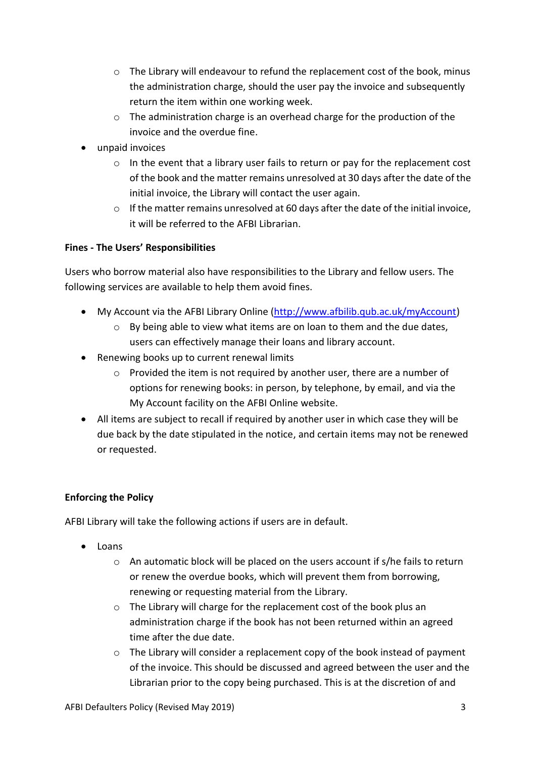- $\circ$  The Library will endeavour to refund the replacement cost of the book, minus the administration charge, should the user pay the invoice and subsequently return the item within one working week.
- o The administration charge is an overhead charge for the production of the invoice and the overdue fine.
- unpaid invoices
	- $\circ$  In the event that a library user fails to return or pay for the replacement cost of the book and the matter remains unresolved at 30 days after the date of the initial invoice, the Library will contact the user again.
	- $\circ$  If the matter remains unresolved at 60 days after the date of the initial invoice, it will be referred to the AFBI Librarian.

# **Fines - The Users' Responsibilities**

Users who borrow material also have responsibilities to the Library and fellow users. The following services are available to help them avoid fines.

- My Account via the AFBI Library Online [\(http://www.afbilib.qub.ac.uk/myAccount\)](http://www.afbilib.qub.ac.uk/myAccount)
	- o By being able to view what items are on loan to them and the due dates, users can effectively manage their loans and library account.
- Renewing books up to current renewal limits
	- o Provided the item is not required by another user, there are a number of options for renewing books: in person, by telephone, by email, and via the My Account facility on the AFBI Online website.
- All items are subject to recall if required by another user in which case they will be due back by the date stipulated in the notice, and certain items may not be renewed or requested.

# **Enforcing the Policy**

AFBI Library will take the following actions if users are in default.

- Loans
	- o An automatic block will be placed on the users account if s/he fails to return or renew the overdue books, which will prevent them from borrowing, renewing or requesting material from the Library.
	- o The Library will charge for the replacement cost of the book plus an administration charge if the book has not been returned within an agreed time after the due date.
	- $\circ$  The Library will consider a replacement copy of the book instead of payment of the invoice. This should be discussed and agreed between the user and the Librarian prior to the copy being purchased. This is at the discretion of and